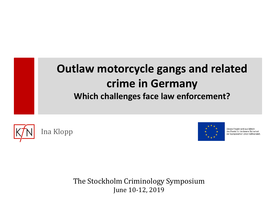## **Outlaw motorcycle gangs and related crime in Germany Which challenges face law enforcement?**





Dieses Projekt wird aus Mitteln des Fonds für die Innere Sicherheit der Europäischen Union kofinanziert.

The Stockholm Criminology Symposium June 10-12, 2019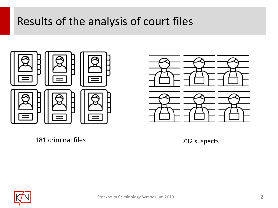## Results of the analysis of court files





181 criminal files

732 suspects

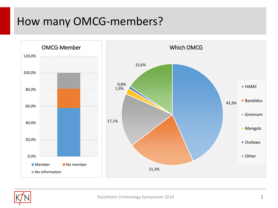## How many OMCG-members?



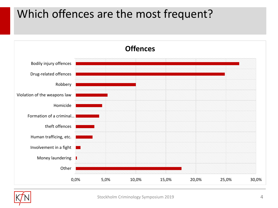# Which offences are the most frequent?



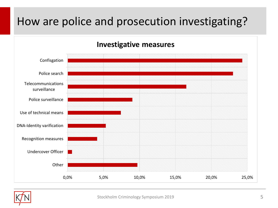# How are police and prosecution investigating?





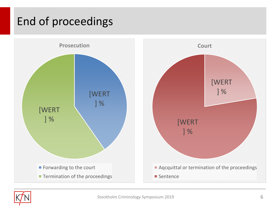# End of proceedings



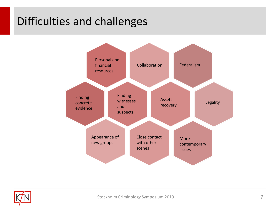# Difficulties and challenges



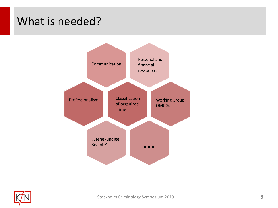#### What is needed?



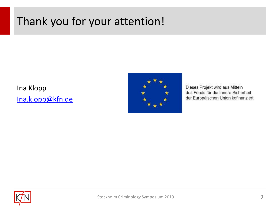# Thank you for your attention!

Ina Klopp [Ina.klopp@kfn.de](mailto:Ina.klopp@kfn.de)



Dieses Projekt wird aus Mitteln des Fonds für die Innere Sicherheit der Europäischen Union kofinanziert.